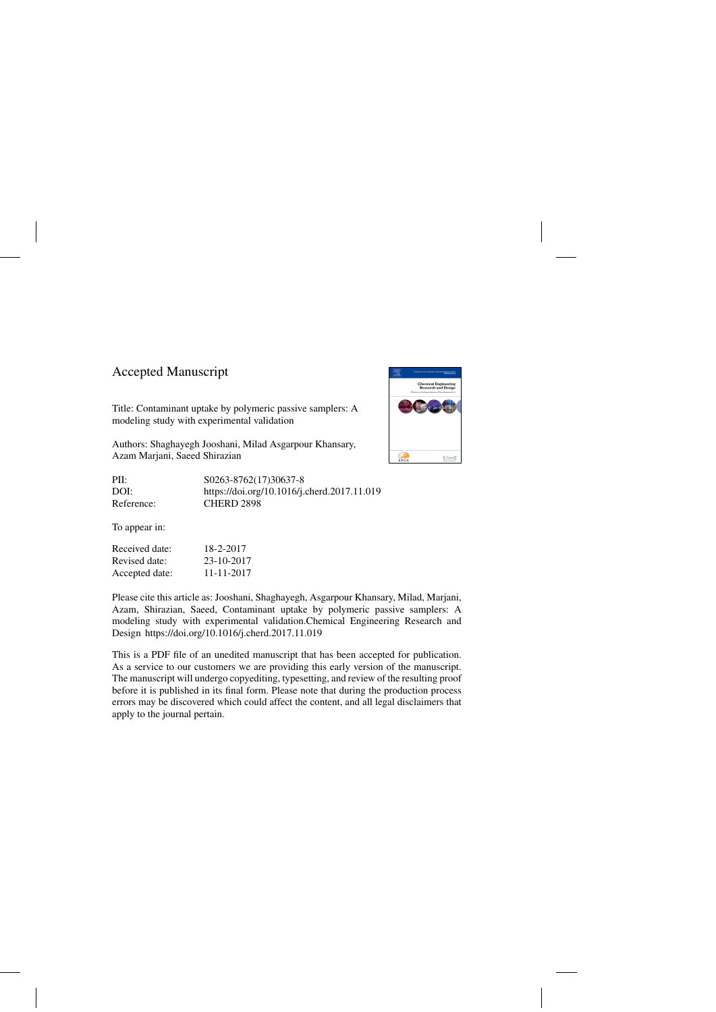## Accepted Manuscript

Title: Contaminant uptake by polymeric passive samplers: A modeling study with experimental validation

Authors: Shaghayegh Jooshani, Milad Asgarpour Khansary, Azam Marjani, Saeed Shirazian

PII: S0263-8762(17)30637-8 DOI:<https://doi.org/10.1016/j.cherd.2017.11.019> Reference: CHERD 2898

To appear in:

Received date: 18-2-2017 Revised date: 23-10-2017 Accepted date: 11-11-2017

Please cite this article as: Jooshani, Shaghayegh, Asgarpour Khansary, Milad, Marjani, Azam, Shirazian, Saeed, Contaminant uptake by polymeric passive samplers: A modeling study with experimental validation.Chemical Engineering Research and Design<https://doi.org/10.1016/j.cherd.2017.11.019>

This is a PDF file of an unedited manuscript that has been accepted for publication. As a service to our customers we are providing this early version of the manuscript. The manuscript will undergo copyediting, typesetting, and review of the resulting proof before it is published in its final form. Please note that during the production process errors may be discovered which could affect the content, and all legal disclaimers that apply to the journal pertain.

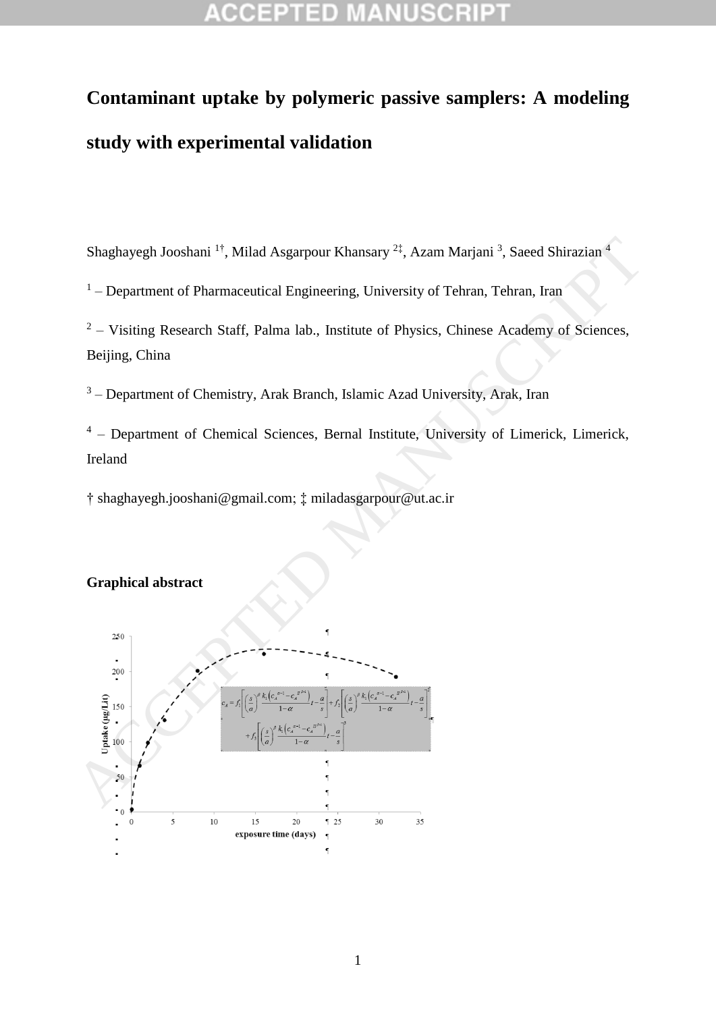### a p CCEP

# **Contaminant uptake by polymeric passive samplers: A modeling study with experimental validation**

Shaghayegh Jooshani<sup>1†</sup>, Milad Asgarpour Khansary<sup>2‡</sup>, Azam Marjani<sup>3</sup>, Saeed Shirazian<sup>4</sup>

<sup>1</sup> – Department of Pharmaceutical Engineering, University of Tehran, Tehran, Iran

 $2 -$  Visiting Research Staff, Palma lab., Institute of Physics, Chinese Academy of Sciences, Beijing, China

<sup>3</sup> – Department of Chemistry, Arak Branch, Islamic Azad University, Arak, Iran

<sup>4</sup> – Department of Chemical Sciences, Bernal Institute, University of Limerick, Limerick, Ireland

† shaghayegh.jooshani@gmail.com; ‡ miladasgarpour@ut.ac.ir

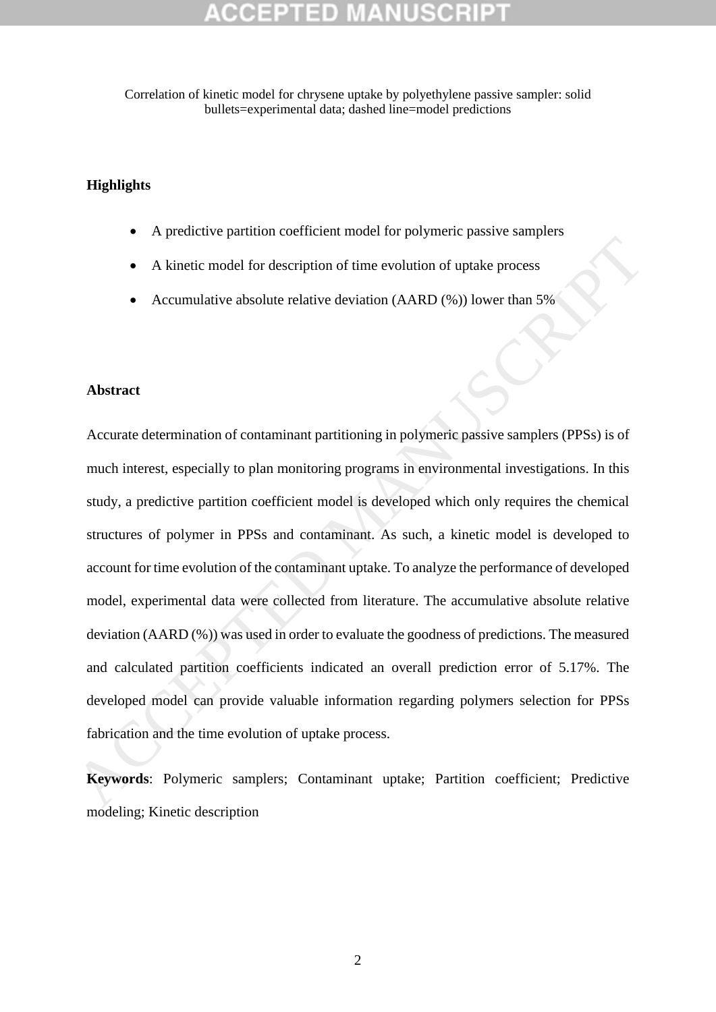Correlation of kinetic model for chrysene uptake by polyethylene passive sampler: solid bullets=experimental data; dashed line=model predictions

### **Highlights**

- A predictive partition coefficient model for polymeric passive samplers
- A kinetic model for description of time evolution of uptake process
- Accumulative absolute relative deviation (AARD (%)) lower than 5%

### **Abstract**

Accurate determination of contaminant partitioning in polymeric passive samplers (PPSs) is of much interest, especially to plan monitoring programs in environmental investigations. In this study, a predictive partition coefficient model is developed which only requires the chemical structures of polymer in PPSs and contaminant. As such, a kinetic model is developed to account for time evolution of the contaminant uptake. To analyze the performance of developed model, experimental data were collected from literature. The accumulative absolute relative deviation (AARD (%)) was used in order to evaluate the goodness of predictions. The measured and calculated partition coefficients indicated an overall prediction error of 5.17%. The developed model can provide valuable information regarding polymers selection for PPSs fabrication and the time evolution of uptake process. A kinetic model for description of time evolution of uptake process<br>
• Accumulative absolute relative deviation (AARD (%)) lower than 5%<br>
• Accumulative absolute relative deviation (AARD (%)) lower than 5%<br>
• Accumulative

**Keywords**: Polymeric samplers; Contaminant uptake; Partition coefficient; Predictive modeling; Kinetic description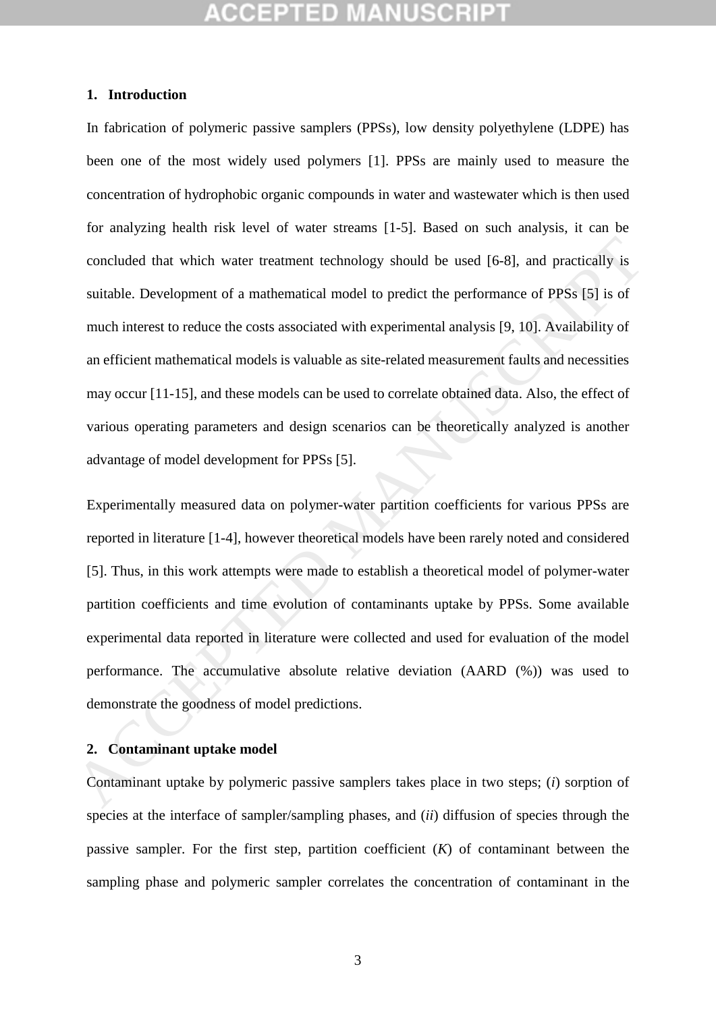### **1. Introduction**

In fabrication of polymeric passive samplers (PPSs), low density polyethylene (LDPE) has been one of the most widely used polymers [\[1\]](#page-14-0). PPSs are mainly used to measure the concentration of hydrophobic organic compounds in water and wastewater which is then used for analyzing health risk level of water streams [1-5]. Based on such analysis, it can be concluded that which water treatment technology should be used [6-8], and practically is suitable. Development of a mathematical model to predict the performance of PPSs [5] is of much interest to reduce the costs associated with experimental analysis [9, 10]. Availability of an efficient mathematical models is valuable as site-related measurement faults and necessities may occur [11-15], and these models can be used to correlate obtained data. Also, the effect of various operating parameters and design scenarios can be theoretically analyzed is another advantage of model development for PPSs [5]. concluded that which water treatment technology should be used [6-8], and practically is<br>suitable. Development of a mathematical model to predict the performance of PPSs [5] is of<br>much interest to reduce the costs associat

Experimentally measured data on polymer-water partition coefficients for various PPSs are reported in literature [1-4], however theoretical models have been rarely noted and considered [5]. Thus, in this work attempts were made to establish a theoretical model of polymer-water partition coefficients and time evolution of contaminants uptake by PPSs. Some available experimental data reported in literature were collected and used for evaluation of the model performance. The accumulative absolute relative deviation (AARD (%)) was used to demonstrate the goodness of model predictions.

### **2. Contaminant uptake model**

Contaminant uptake by polymeric passive samplers takes place in two steps; (*i*) sorption of species at the interface of sampler/sampling phases, and (*ii*) diffusion of species through the passive sampler. For the first step, partition coefficient (*K*) of contaminant between the sampling phase and polymeric sampler correlates the concentration of contaminant in the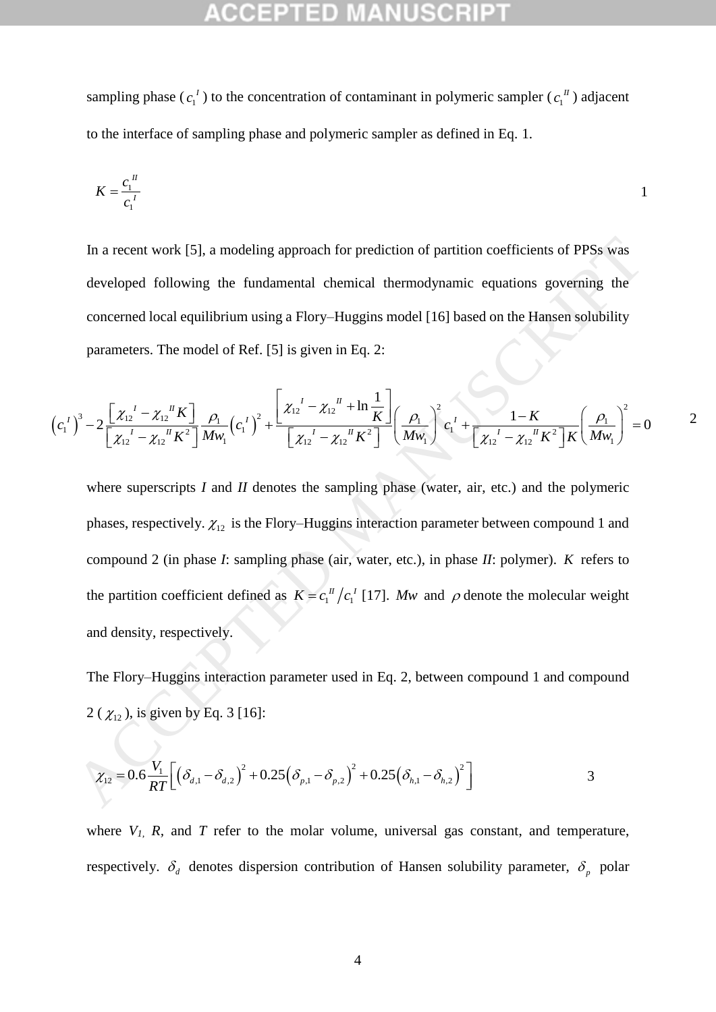sampling phase ( $c_1$ )  $c_1^I$ ) to the concentration of contaminant in polymeric sampler ( $c_1$ )  $c_1^{\prime\prime}$ ) adjacent to the interface of sampling phase and polymeric sampler as defined in Eq. [1.](#page-4-0)

$$
K = \frac{c_1^{\{I\}}}{c_1^{\{I\}}}
$$

In a recent work [5], a modeling approach for prediction of partition coefficients of PPSs was developed following the fundamental chemical thermodynamic equations governing the concerned local equilibrium using a Flory–Huggins model [16] based on the Hansen solubility parameters. The model of Ref. [5] is given in Eq. 2: Solid is given in Eq. 2:<br>  $\left[\chi_{12}^{\ \ l} - \chi_{12}^{\ \ l\ \ l} + \ln \frac{1}{K}\right] \left(\rho_1\right)^2$ 

parameters. The model of Ref. [5] is given in Eq. 2:  
\n
$$
(c_1^I)^3 - 2 \frac{\left[ \chi_{12}^I - \chi_{12}^I{}^I K \right]}{\left[ \chi_{12}^I - \chi_{12}^I{}^I K^2 \right]} \frac{\rho_1}{M w_1} (c_1^I)^2 + \frac{\left[ \chi_{12}^I - \chi_{12}^I{}^I + \ln \frac{1}{K} \right]}{\left[ \chi_{12}^I - \chi_{12}^I{}^I K^2 \right]} \left( \frac{\rho_1}{M w_1} \right)^2 c_1^I + \frac{1 - K}{\left[ \chi_{12}^I - \chi_{12}^I{}^I K^2 \right] K} \left( \frac{\rho_1}{M w_1} \right)^2 = 0
$$

<span id="page-4-2"></span><span id="page-4-1"></span><span id="page-4-0"></span>2

where superscripts *I* and *II* denotes the sampling phase (water, air, etc.) and the polymeric phases, respectively.  $\chi_{12}$  is the Flory–Huggins interaction parameter between compound 1 and compound 2 (in phase *I*: sampling phase (air, water, etc.), in phase *II*: polymer). *K* refers to the partition coefficient defined as  $K = c_1^{I\prime}/c_1^{I}$  [17]. *Mw* and  $\rho$  denote the molecular weight and density, respectively. In a recent work [5], a modeling approach for prediction of partition coefficients of PPSs was<br>developed following the fundamental chemical thermodynamic equations governing the<br>concerned local equilibrium using a Flory-H

The Flory–Huggins interaction parameter used in Eq. 2, between compound 1 and compound  $2 \left( \chi_{12} \right)$ , is given by Eq. 3 [16]:

$$
\chi_{12} = 0.6 \frac{V_1}{RT} \Big[ \big( \delta_{d,1} - \delta_{d,2} \big)^2 + 0.25 \big( \delta_{p,1} - \delta_{p,2} \big)^2 + 0.25 \big( \delta_{h,1} - \delta_{h,2} \big)^2 \Big]
$$
 3

where  $V_I$ ,  $R$ , and  $T$  refer to the molar volume, universal gas constant, and temperature, respectively.  $\delta_d$  denotes dispersion contribution of Hansen solubility parameter,  $\delta_p$  polar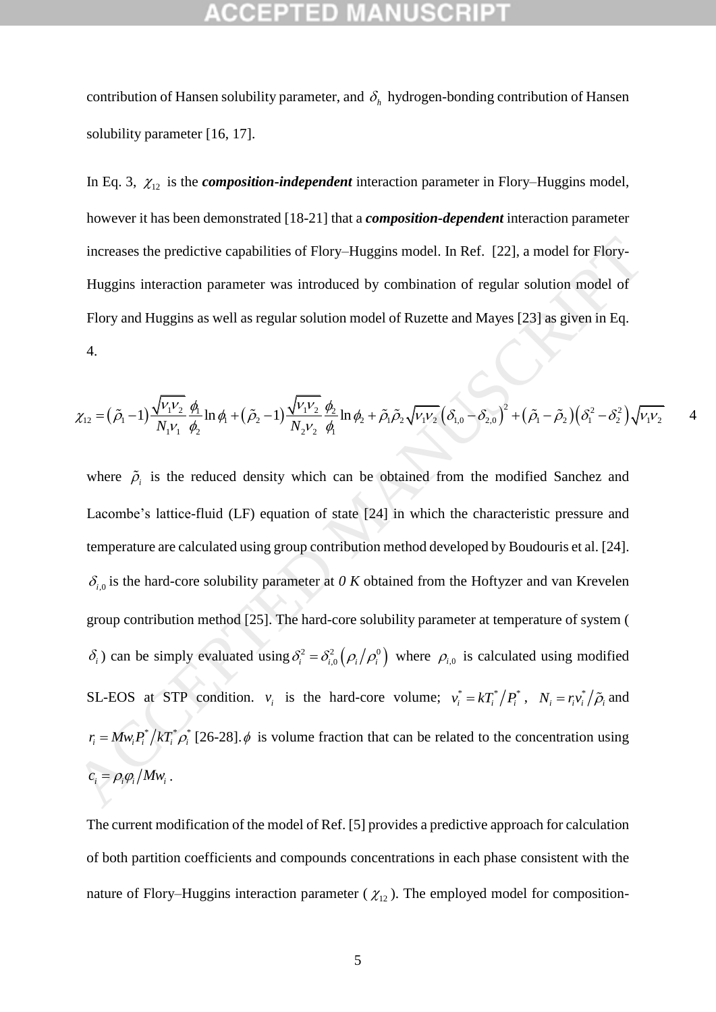contribution of Hansen solubility parameter, and  $\delta_h$  hydrogen-bonding contribution of Hansen solubility parameter [\[16,](#page-14-6) [17\]](#page-14-7).

In Eq. [3,](#page-4-2)  $\chi_{12}$  is the *composition*-*independent* interaction parameter in Flory–Huggins model, however it has been demonstrated [\[18-21\]](#page-14-8) that a *composition-dependent* interaction parameter increases the predictive capabilities of Flory–Huggins model. In Ref. [22], a model for Flory-Huggins interaction parameter was introduced by combination of regular solution model of Flory and Huggins as well as regular solution model of Ruzette and Mayes [23] as given in Eq. 4.

<span id="page-5-0"></span>4.  
\n
$$
\chi_{12} = (\tilde{\rho}_1 - 1) \frac{\sqrt{V_1 V_2}}{N_1 V_1} \frac{\phi_1}{\phi_2} \ln \phi_1 + (\tilde{\rho}_2 - 1) \frac{\sqrt{V_1 V_2}}{N_2 V_2} \frac{\phi_2}{\phi_1} \ln \phi_2 + \tilde{\rho}_1 \tilde{\rho}_2 \sqrt{V_1 V_2} (\delta_{1,0} - \delta_{2,0})^2 + (\tilde{\rho}_1 - \tilde{\rho}_2) (\delta_1^2 - \delta_2^2) \sqrt{V_1 V_2} \qquad 4
$$

where  $\tilde{\rho}_i$  is the reduced density which can be obtained from the modified Sanchez and Lacombe's lattice-fluid (LF) equation of state [24] in which the characteristic pressure and temperature are calculated using group contribution method developed by Boudouris et al. [24].  $\delta_{i,0}$  is the hard-core solubility parameter at *0 K* obtained from the Hoftyzer and van Krevelen group contribution method [25]. The hard-core solubility parameter at temperature of system (  $\delta_i$ ) can be simply evaluated using  $\delta_i^2 = \delta_{i,0}^2 (\rho_i / \rho_i^0)$  where  $\rho_{i,0}$  is calculated using modified SL-EOS at STP condition.  $v_i$  is the hard-core volume;  $v_i^* = kT_i^* / P_i^*$ ,  $N_i = r_i v_i^* / \tilde{\rho}_i$  and  $r_i = M w_i P_i^* / k T_i^* \rho_i^*$  [26-28].  $\phi$  is volume fraction that can be related to the concentration using  $c_i = \rho_i \varphi_i / M w_i$ . increases the predictive capabilities of Flory-Huggins model. In Ref. [22], a model for Plory-<br>Huggins interaction parameter was introduced by combination of regular solution model of<br>Flory and Huggins as well as regular

The current modification of the model of Ref. [\[5\]](#page-14-2) provides a predictive approach for calculation of both partition coefficients and compounds concentrations in each phase consistent with the nature of Flory–Huggins interaction parameter ( $\chi_{12}$ ). The employed model for composition-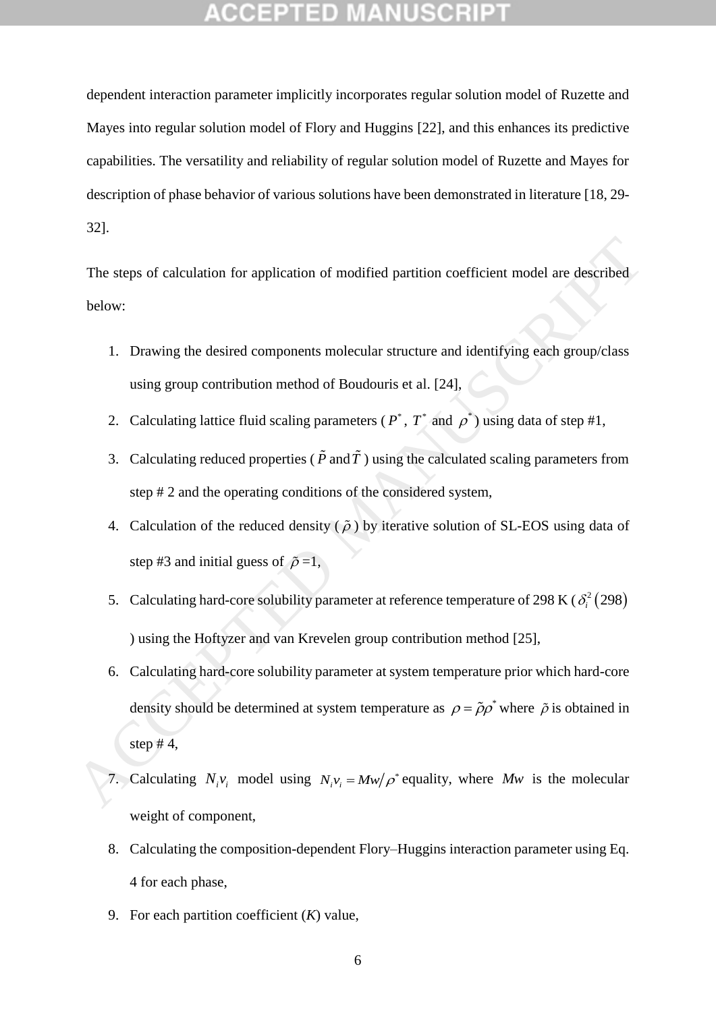dependent interaction parameter implicitly incorporates regular solution model of Ruzette and Mayes into regular solution model of Flory and Huggins [\[22\]](#page-15-0), and this enhances its predictive capabilities. The versatility and reliability of regular solution model of Ruzette and Mayes for description of phase behavior of various solutions have been demonstrated in literature [\[18,](#page-14-8) [29-](#page-15-5) 32].

The steps of calculation for application of modified partition coefficient model are described below:

- 1. Drawing the desired components molecular structure and identifying each group/class using group contribution method of Boudouris et al. [24],
- 2. Calculating lattice fluid scaling parameters ( $P^*$ ,  $T^*$  and  $\rho^*$ ) using data of step #1,
- 3. Calculating reduced properties ( $P$  and  $T$ ) using the calculated scaling parameters from step # 2 and the operating conditions of the considered system,
- 4. Calculation of the reduced density ( $\tilde{\rho}$ ) by iterative solution of SL-EOS using data of step #3 and initial guess of  $\tilde{\rho} = 1$ ,
- 5. Calculating hard-core solubility parameter at reference temperature of 298 K ( $\delta_i^2$  (298) ) using the Hoftyzer and van Krevelen group contribution method [25],
- 6. Calculating hard-core solubility parameter at system temperature prior which hard-core density should be determined at system temperature as  $\rho = \tilde{\rho}\rho^*$  where  $\tilde{\rho}$  is obtained in step  $#4$ . The steps of calculation for application of modified partition coefficient model are described<br>below:<br>
1. Drawing the desired components molecular structure and identifying each group/class<br>
using group contribution metho
	- 7. Calculating  $N_i v_i$  model using  $N_i v_i = Mw / \rho^*$  equality, where Mw is the molecular weight of component,
	- 8. Calculating the composition-dependent Flory–Huggins interaction parameter using Eq. [4](#page-5-0) for each phase,
	- 9. For each partition coefficient (*K*) value,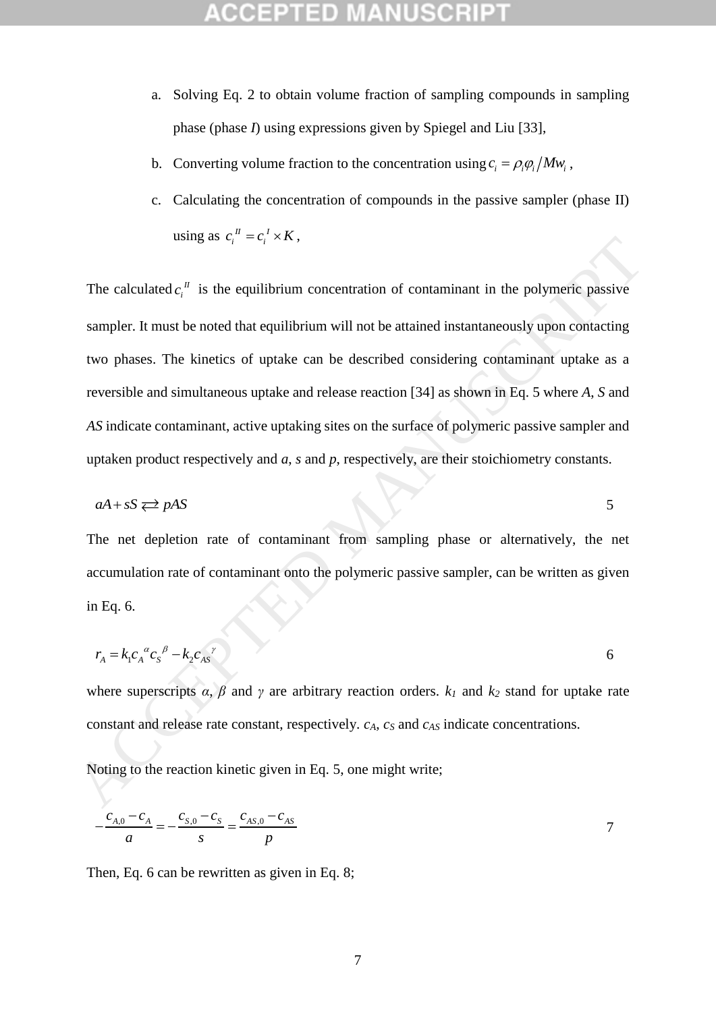- a. Solving Eq. [2](#page-4-1) to obtain volume fraction of sampling compounds in sampling phase (phase *I*) using expressions given by Spiegel and Liu [\[33\]](#page-15-6),
- b. Converting volume fraction to the concentration using  $c_i = \rho_i \rho_i / M w_i$ ,
- c. Calculating the concentration of compounds in the passive sampler (phase II) using as  $c_i^{\prime \prime} = c_i^{\prime} \times K$ ,

The calculated  $c_i^{\prime\prime}$  $c_i^{\mu}$  is the equilibrium concentration of contaminant in the polymeric passive sampler. It must be noted that equilibrium will not be attained instantaneously upon contacting two phases. The kinetics of uptake can be described considering contaminant uptake as a reversible and simultaneous uptake and release reaction [34] as shown in Eq. 5 where *A*, *S* and *AS* indicate contaminant, active uptaking sites on the surface of polymeric passive sampler and uptaken product respectively and *a*, *s* and *p*, respectively, are their stoichiometry constants. osing as  $c_i = c_i \times h$ ,<br>
The calculated  $c_i^a$  is the equilibrium concentration of contaminant in the polymeric passive<br>
sampler. It must be noted that equilibrium vill not be attained instantaneously upon contacting<br>
two ph

<span id="page-7-0"></span>
$$
aA + sS \rightleftarrows pAS
$$

The net depletion rate of contaminant from sampling phase or alternatively, the net accumulation rate of contaminant onto the polymeric passive sampler, can be written as given in Eq. 6.

<span id="page-7-1"></span>
$$
r_{A} = k_1 c_A^{a} c_S^{b} - k_2 c_{AS}^{c}
$$

where superscripts  $\alpha$ ,  $\beta$  and  $\gamma$  are arbitrary reaction orders.  $k_1$  and  $k_2$  stand for uptake rate constant and release rate constant, respectively. *cA*, *c<sup>S</sup>* and *cAS* indicate concentrations.

Noting to the reaction kinetic given in Eq. 5, one might write;

<span id="page-7-2"></span>
$$
-\frac{c_{A,0} - c_A}{a} = -\frac{c_{S,0} - c_S}{s} = \frac{c_{AS,0} - c_{AS}}{p}
$$
7

Then, Eq. [6](#page-7-1) can be rewritten as given in Eq. [8;](#page-8-0)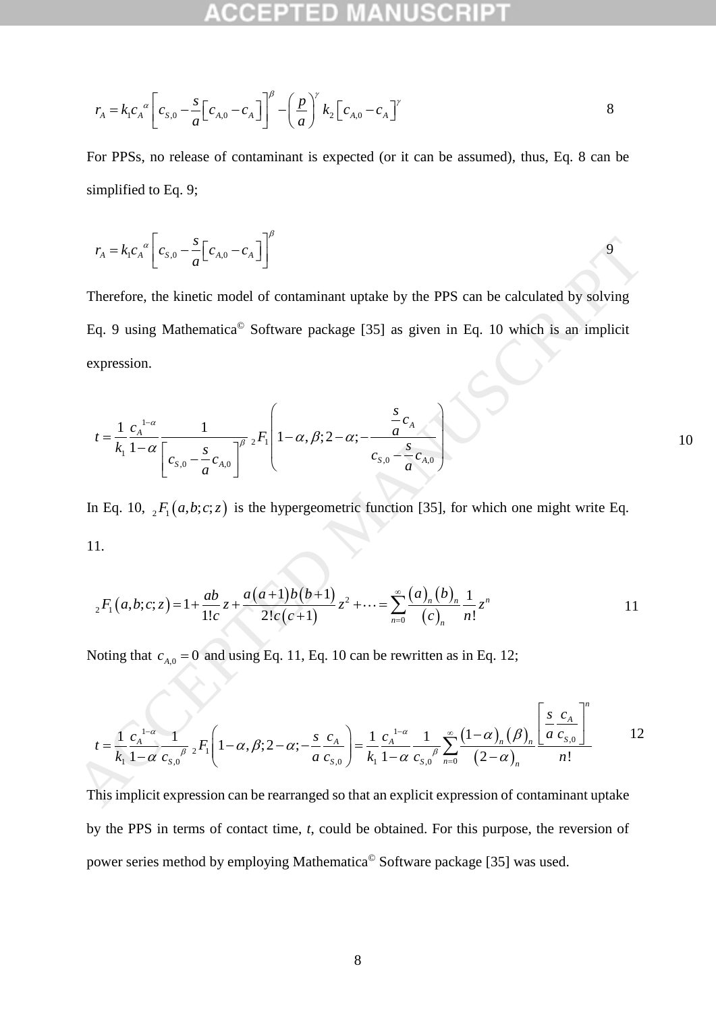<span id="page-8-1"></span><span id="page-8-0"></span>

$$
r_{A} = k_{1} c_{A}^{\alpha} \left[ c_{s,0} - \frac{s}{a} \left[ c_{A,0} - c_{A} \right] \right]^{\beta} - \left( \frac{p}{a} \right)^{\gamma} k_{2} \left[ c_{A,0} - c_{A} \right]^{\gamma}
$$
8

For PPSs, no release of contaminant is expected (or it can be assumed), thus, Eq. [8](#page-8-0) can be simplified to Eq. [9;](#page-8-1)

$$
r_{A} = k_{1}c_{A}^{a} \left[c_{s,0} - \frac{s}{a} \left[c_{A,0} - c_{A}\right]\right]^{\beta}
$$

Therefore, the kinetic model of contaminant uptake by the PPS can be calculated by solving Eq. 9 using Mathematica© Software package [35] as given in Eq. 10 which is an implicit expression.

$$
r_A = k_1 c_A \left[ c_{s,0} - \frac{s}{a} \left[ c_{s,0} - c_A \right] \right]
$$
\nTherefore, the kinetic model of contaminant uptake by the PPS can be calculated by solving  
\nEq. 9 using Mathematica<sup>®</sup> Software package [35] as given in Eq. 10 which is an implicit  
\nexpression.  
\n
$$
t = \frac{1}{k_1} \frac{c_A^{1-\alpha}}{1-\alpha} \frac{1}{\left[ c_{s,0} - \frac{s}{a} c_{s,0} \right]^{\beta}} {}_2F_1 \left[ 1-\alpha, \beta; 2-\alpha; -\frac{\frac{s}{a} c_A}{c_{s,0} - \frac{s}{a} c_{s,0}} \right]
$$
\nIn Eq. 10,  ${}_2F_1(a,b;c;z)$  is the hypergeometric function [35], for which one might write Eq.  
\n11.  
\n
$$
{}_2F_1(a,b;c;z) = 1 + \frac{ab}{1!c} z + \frac{a(a+1)b(b+1)}{2!c(c+1)} z^2 + \dots = \sum_{n=0}^{\infty} \frac{(a)_n (b)_n}{(c)_n} \frac{1}{n!} z^n
$$
\n11  
\nNoting that  $c_{A,0} = 0$  and using Eq. 11, Eq. 10 can be rewritten as in Eq. 12;  
\n
$$
t = \frac{1}{k_1} \frac{c_A^{1-\alpha}}{1-\alpha} \frac{1}{c_{s,0}} {}_2F_1 \left( 1-\alpha, \beta; 2-\alpha; -\frac{s}{a} \frac{c_A}{c_{s,0}} \right) = \frac{1}{k_1} \frac{c_A^{1-\alpha}}{1-\alpha} \frac{1}{c_{s,0}} \sum_{n=0}^{\infty} \frac{(1-\alpha)_n (\beta)_n}{(2-\alpha)_n} \frac{\left[ \frac{s}{a} \frac{c_A}{c_{s,0}} \right]}{n!}
$$
\nThis implicit expression can be rearranged so that an explicit expression of contaminant uptake

In Eq. 10,  $_2F_1(a,b;c;z)$  is the hypergeometric function [35], for which one might write Eq. 11.

<span id="page-8-3"></span><span id="page-8-2"></span>1.  
\n
$$
{}_{2}F_{1}(a,b;c;z)=1+\frac{ab}{1!c}z+\frac{a(a+1)b(b+1)}{2!c(c+1)}z^{2}+\cdots=\sum_{n=0}^{\infty}\frac{(a)_{n}(b)_{n}}{(c)_{n}}\frac{1}{n!}z^{n}
$$
\n11

Noting that  $c_{A,0} = 0$  and using Eq. 11, Eq. 10 can be rewritten as in Eq. 12;

<span id="page-8-4"></span>Noting that 
$$
c_{A,0} = 0
$$
 and using Eq. 11, Eq. 10 can be rewritten as in Eq. 12;  
\n
$$
t = \frac{1}{k_1} \frac{c_A^{-1-\alpha}}{1-\alpha} \frac{1}{c_{s,0}^{-\beta}} {}_2F_1 \left(1-\alpha, \beta; 2-\alpha; -\frac{s}{a} \frac{c_A}{c_{s,0}}\right) = \frac{1}{k_1} \frac{c_A^{-1-\alpha}}{1-\alpha} \frac{1}{c_{s,0}^{-\beta}} \sum_{n=0}^{\infty} \frac{(1-\alpha)_n (\beta)_n}{(2-\alpha)_n} \frac{\left[\frac{s}{a} \frac{c_A}{c_{s,0}}\right]^n}{n!}
$$
12

This implicit expression can be rearranged so that an explicit expression of contaminant uptake by the PPS in terms of contact time, *t*, could be obtained. For this purpose, the reversion of power series method by employing Mathematica© Software package [\[35\]](#page-15-8) was used.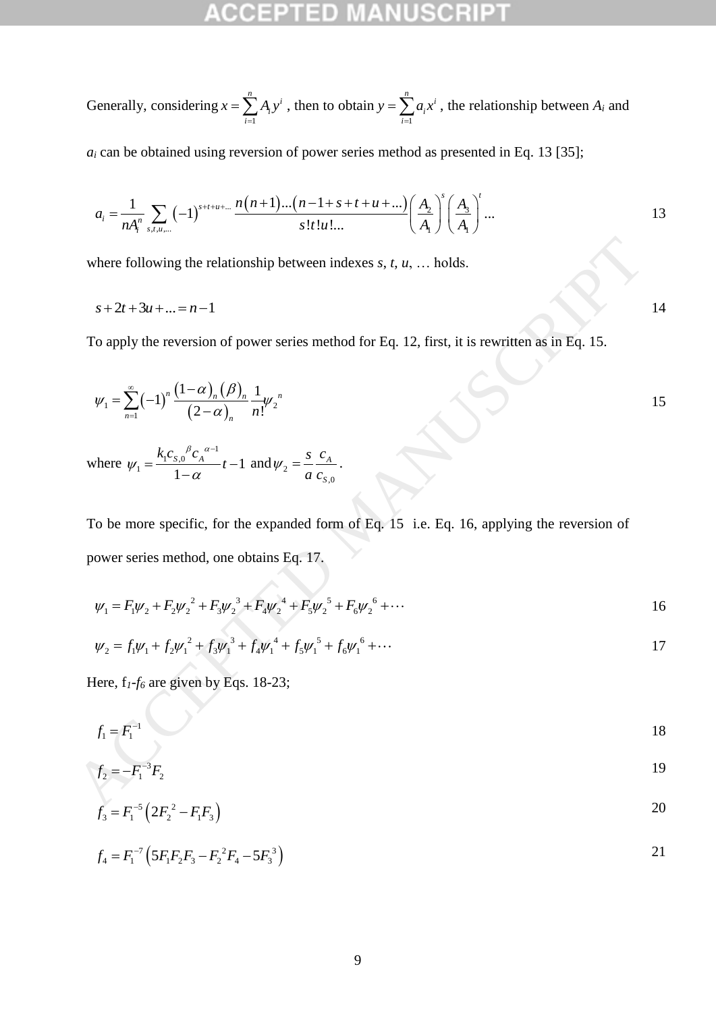Generally, considering 1  $\sum_{i=1}^{n}$ *i i*  $x = \sum A_i y$  $=\sum_{i=1}^{n} A_i y^i$ , then to obtain 1  $\sum_{i=1}^{n} a_i$ *i i*  $y = \sum a_i x$  $=\sum_{i=1}^{n} a_i x^i$ , the relationship between  $A_i$  and

$$
a_i
$$
 can be obtained using reversion of power series method as presented in Eq. 13 [35];  

$$
a_i = \frac{1}{nA_i^n} \sum_{s,t,u,...} (-1)^{s+t+u+...} \frac{n(n+1)...(n-1+s+t+u+...)}{s!t!u!...} \left(\frac{A_2}{A_1}\right)^s \left(\frac{A_3}{A_1}\right)^t ...
$$

where following the relationship between indexes *s*, *t*, *u*, … holds.

$$
s+2t+3u+\ldots=n-1
$$

To apply the reversion of power series method for Eq. 12, first, it is rewritten as in Eq. 15.

$$
\psi_1 = \sum_{n=1}^{\infty} (-1)^n \frac{(1-\alpha)_n (\beta)_n}{(2-\alpha)_n} \frac{1}{n!} \psi_2^{n}
$$

where  $C_{1}C_{S,0}^{\beta}C_{A}^{\alpha-1}$  $\tau_1 = \frac{R_1 S_2^2 + R_1 S_2^2 - R_1}{1 - R_1 S_1} t - 1$ 1  $\frac{k_1 c_{s,0}^{\beta} c_A^{\alpha-1}}{t}$  $\beta$  a - $\psi_1 = \frac{\overline{\phantom{0}}}{1-\alpha}$  $=\frac{k_1c_{s,0}{}^{\beta}c_A{}^{\alpha-1}}{1}t-1$  $\overline{a}$ and  $\psi_2$ ,0 *A S s c a c*  $\psi_2 = \frac{3}{4} c_A$ .

To be more specific, for the expanded form of Eq. 15 i.e. Eq. 16, applying the reversion of power series method, one obtains Eq. 17. where following the relationship between indexes *s*, *t*, *u*, ... holds.<br>  $s + 2t + 3u + ... = n - 1$ <br>
To apply the reversion of power series method for Eq. 12, first, it is rewritten as in Eq. 15.<br>  $\psi_1 = \sum_{n=1}^{\infty} (-1)^n \frac{(1 - \alpha$ 

$$
\psi_1 = F_1 \psi_2 + F_2 \psi_2^2 + F_3 \psi_2^3 + F_4 \psi_2^4 + F_5 \psi_2^5 + F_6 \psi_2^6 + \cdots
$$

$$
\psi_1 = r_1 \psi_2 + r_2 \psi_2 + r_3 \psi_2 + r_4 \psi_2 + r_5 \psi_2 + r_6 \psi_2 + \cdots
$$
  
\n
$$
\psi_2 = f_1 \psi_1 + f_2 \psi_1^2 + f_3 \psi_1^3 + f_4 \psi_1^4 + f_5 \psi_1^5 + f_6 \psi_1^6 + \cdots
$$

Here, f*1*-*f<sup>6</sup>* are given by Eqs. 18-23;

$$
f_1 = F_1^{-1}
$$

$$
f_2 = -F_1^{-3}F_2
$$

$$
f_3 = F_1^{-5} \left( 2F_2^2 - F_1 F_3 \right)
$$

$$
f_4 = F_1^{-7} \left( 5F_1 F_2 F_3 - F_2^2 F_4 - 5F_3^3 \right)
$$
 21

<span id="page-9-0"></span>14

<span id="page-9-4"></span><span id="page-9-3"></span><span id="page-9-2"></span><span id="page-9-1"></span> $\frac{1}{2}$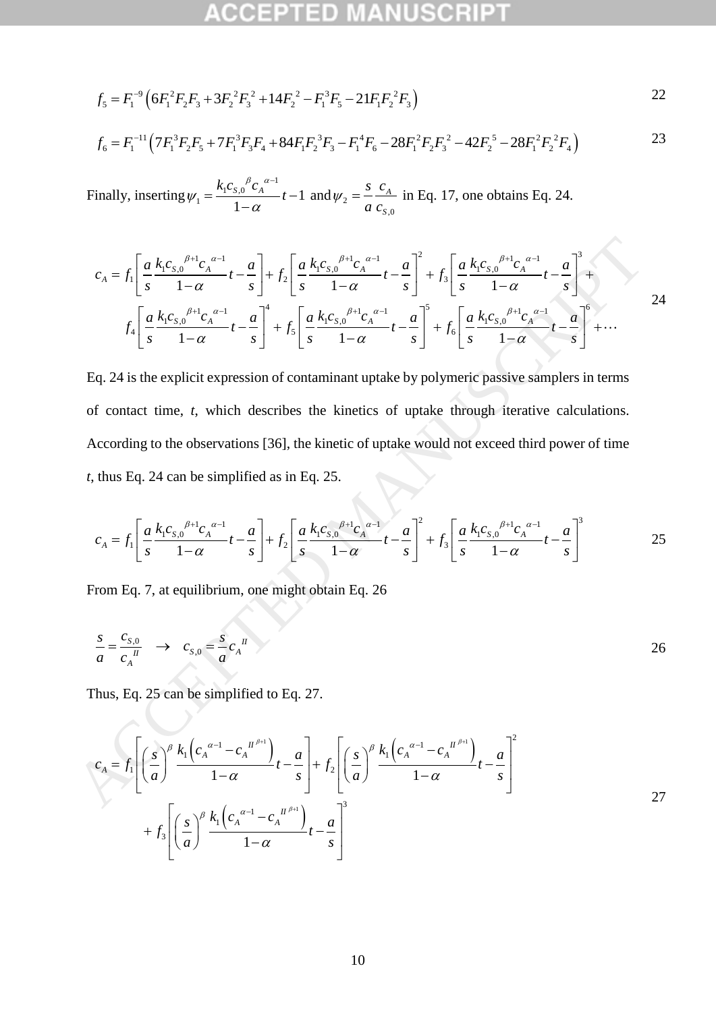$$
f_5 = F_1^{-9} \left( 6F_1^2 F_2 F_3 + 3F_2^2 F_3^2 + 14F_2^2 - F_1^3 F_5 - 21F_1 F_2^2 F_3 \right)
$$

<span id="page-10-0"></span>
$$
f_5 = F_1^{-9} \left( 6F_1^2 F_2 F_3 + 3F_2^2 F_3^2 + 14F_2^2 - F_1^3 F_5 - 21F_1 F_2^2 F_3 \right)
$$
  
\n
$$
f_6 = F_1^{-11} \left( 7F_1^3 F_2 F_5 + 7F_1^3 F_3 F_4 + 84F_1 F_2^3 F_3 - F_1^4 F_6 - 28F_1^2 F_2 F_3^2 - 42F_2^5 - 28F_1^2 F_2^2 F_4 \right)
$$
  
\n23

Finally, inserting  $C_{1}C_{S,0}^{\beta}C_{A}^{\alpha-1}$  $\tau_1 = \frac{R_1 \sigma_{S,0} + A}{1 \sigma_{S,0}} t - 1$ 1  $\frac{k_1 c_{s,0}^{\beta} c_A^{\alpha-1}}{t}$  $\beta$  a - $\psi_1 = \frac{\gamma}{1-\alpha}$  $=\frac{k_1c_{s,0}{}^{\beta}c_A{}^{\alpha-1}}{1}t-1$ and  $\psi_2$ ,0 *A S s c a c*

<span id="page-10-1"></span>
$$
\begin{aligned}\n\text{inally, inserting } \psi_1 &= \frac{\gamma_1 c_{S,0} \cdot c_A}{1 - \alpha} t - 1 \text{ and } \psi_2 = \frac{s}{a} \frac{c_A}{c_{S,0}} \text{ in Eq. 17, one obtains Eq. 24.} \\
c_A &= f_1 \left[ \frac{a}{s} \frac{k_1 c_{S,0}^{\beta+1} c_A^{\alpha-1}}{1 - \alpha} t - \frac{a}{s} \right] + f_2 \left[ \frac{a}{s} \frac{k_1 c_{S,0}^{\beta+1} c_A^{\alpha-1}}{1 - \alpha} t - \frac{a}{s} \right]^2 + f_3 \left[ \frac{a}{s} \frac{k_1 c_{S,0}^{\beta+1} c_A^{\alpha-1}}{1 - \alpha} t - \frac{a}{s} \right]^3 + \\
f_4 \left[ \frac{a}{s} \frac{k_1 c_{S,0}^{\beta+1} c_A^{\alpha-1}}{1 - \alpha} t - \frac{a}{s} \right]^4 + f_5 \left[ \frac{a}{s} \frac{k_1 c_{S,0}^{\beta+1} c_A^{\alpha-1}}{1 - \alpha} t - \frac{a}{s} \right]^5 + f_6 \left[ \frac{a}{s} \frac{k_1 c_{S,0}^{\beta+1} c_A^{\alpha-1}}{1 - \alpha} t - \frac{a}{s} \right]^6 + \dots \n\end{aligned}
$$

Eq. 24 is the explicit expression of contaminant uptake by polymeric passive samplers in terms of contact time, *t*, which describes the kinetics of uptake through iterative calculations. According to the observations [36], the kinetic of uptake would not exceed third power of time *t*, thus Eq. 24 can be simplified as in Eq. 25.  $c_A = f_1 \left[ \frac{\alpha}{s} \frac{k_c c_s \int_0^{R_1} c_s \frac{\alpha}{s}}{1 - \alpha} + \frac{\alpha}{s} \right] + f_2 \left[ \frac{\alpha}{s} \frac{k_c c_s \int_0^{R_1} c_s \frac{\alpha}{s}}{1 - \alpha} + \frac{\alpha}{s} \right]^2 + f_3 \left[ \frac{\alpha}{s} \frac{k_c c_s \int_0^{R_1} c_s \frac{\alpha}{s}}{1 - \alpha} + \frac{\alpha}{s} \right]^2 + f_4 \left[ \frac{\alpha}{s} \frac{k_c c_s \int_0^{R_1} c_s \frac{\alpha}{s}}{1 - \alpha} + \frac{\alpha}{s$ 

<span id="page-10-2"></span>thus Eq. 24 can be simplified as in Eq. 25.  
\n
$$
c_A = f_1 \left[ \frac{a}{s} \frac{k_1 c_{s,0}^{\beta+1} c_A^{\alpha-1}}{1-\alpha} t - \frac{a}{s} \right] + f_2 \left[ \frac{a}{s} \frac{k_1 c_{s,0}^{\beta+1} c_A^{\alpha-1}}{1-\alpha} t - \frac{a}{s} \right]^2 + f_3 \left[ \frac{a}{s} \frac{k_1 c_{s,0}^{\beta+1} c_A^{\alpha-1}}{1-\alpha} t - \frac{a}{s} \right]^3
$$
 25

From Eq. 7, at equilibrium, one might obtain Eq. 26

<span id="page-10-3"></span>
$$
\frac{s}{a} = \frac{c_{s,0}}{c_A^{II}} \to c_{s,0} = \frac{s}{a} c_A^{II}
$$

<span id="page-10-4"></span>Thus, Eq. 25 can be simplified to Eq. 27.

$$
f_5 = F_1^{\circ}{}^0 (6F_1^{\circ}F_2F_3 + 3F_2^{\circ}F_3^{\circ} + 14F_2^{\circ} - F_1^{\circ}F_5 - 21F_1F_3^{\circ}F_3)
$$
  
\n
$$
f_6 = F_1^{-11} (7F_1^{\circ}F_2F_5 + 7F_1^{\circ}F_3F_4 + 84F_1F_2^{\circ}F_5 - F_1^{\circ}F_6 - 28F_1^{\circ}F_2F_3^{\circ} - 42F_2^{\circ} - 28F_1^{\circ}F_2^{\circ}F_4)
$$
  
\nFinally, inserting  $\psi_1 = \frac{k_1c_3\delta^{\alpha}c_4^{\alpha-1}}{1-\alpha}t - \frac{a}{a}\Big] + f_2\Big[\frac{a}{s}\frac{k_1c_5\delta^{\beta+1}c_4^{\alpha-1}}{1-\alpha}t - \frac{a}{s}\Big]^2 + f_3\Big[\frac{a}{s}\frac{k_1c_5\delta^{\beta+1}c_4^{\alpha-1}}{1-\alpha}t - \frac{a}{s}\Big]^2 + f_5\Big[\frac{a}{s}\frac{k_1c_5\delta^{\beta+1}c_4^{\alpha-1}}{1-\alpha}t - \frac{a}{s}\Big]^2 + f_6\Big[\frac{a}{s}\frac{k_1c_5\delta^{\beta+1}c_4^{\alpha-1}}{1-\alpha}t - \frac{a}{s}\Big]^2 + f_7\Big[\frac{a}{s}\frac{k_1c_5\delta^{\beta+1}c_4^{\alpha-1}}{1-\alpha}t - \frac{a}{s}\Big]^2 + f_8\Big[\frac{a}{s}\frac{k_1c_5\delta^{\beta+1}c_4^{\alpha-1}}{1-\alpha}t - \frac{a}{s}\Big]^2 + f_9\Big[\frac{a}{s}\frac{k_1c_5\delta^{\beta+1}c_4^{\alpha-1}}{1-\alpha}t - \frac{a}{s}\Big]^2 + f_9\Big[\frac{a}{s}\frac{k_1c_5\delta^{\beta+1}c_4^{\alpha-1}}{1-\alpha}t - \frac{a}{s}\Big]^2 + f_9\Big[\frac{a}{s}\frac{k_1c_5\delta^{\beta+1}c_4^{\alpha-1}}{1-\alpha}t - \frac{a}{s}\Big$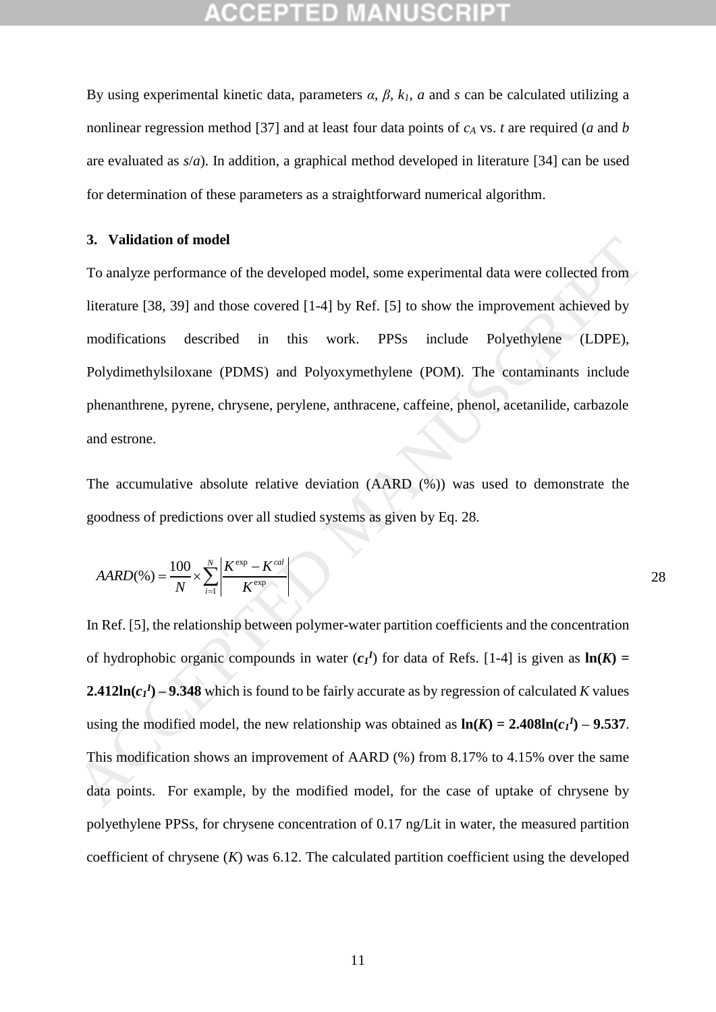By using experimental kinetic data, parameters *α*, *β*, *k1*, *a* and *s* can be calculated utilizing a nonlinear regression method [\[37\]](#page-15-10) and at least four data points of *c<sup>A</sup>* vs. *t* are required (*a* and *b* are evaluated as *s*/*a*). In addition, a graphical method developed in literature [\[34\]](#page-15-7) can be used for determination of these parameters as a straightforward numerical algorithm.

### **3. Validation of model**

To analyze performance of the developed model, some experimental data were collected from literature [38, 39] and those covered [1-4] by Ref. [5] to show the improvement achieved by modifications described in this work. PPSs include Polyethylene (LDPE), Polydimethylsiloxane (PDMS) and Polyoxymethylene (POM). The contaminants include phenanthrene, pyrene, chrysene, perylene, anthracene, caffeine, phenol, acetanilide, carbazole and estrone.

The accumulative absolute relative deviation (AARD (%)) was used to demonstrate the goodness of predictions over all studied systems as given by Eq. 28.

<span id="page-11-0"></span>
$$
AARD(\%) = \frac{100}{N} \times \sum_{i=1}^{N} \left| \frac{K^{\exp} - K^{cal}}{K^{\exp}} \right|
$$

In Ref. [5], the relationship between polymer-water partition coefficients and the concentration of hydrophobic organic compounds in water  $(c_I^I)$  for data of Refs. [1-4] is given as  $\ln(K)$  = **2.412ln**( $c_I$ <sup>*I*</sup>) – **9.348** which is found to be fairly accurate as by regression of calculated *K* values using the modified model, the new relationship was obtained as  $\ln(K) = 2.408 \ln(c_1 I) - 9.537$ . This modification shows an improvement of AARD (%) from 8.17% to 4.15% over the same data points. For example, by the modified model, for the case of uptake of chrysene by polyethylene PPSs, for chrysene concentration of 0.17 ng/Lit in water, the measured partition coefficient of chrysene (*K*) was 6.12. The calculated partition coefficient using the developed 3. Validation of model<br>
To analyze performance of the developed model, some experimental data were collected from<br>
literature [38, 39] and those covered [1-4] by Ref. [5] to show the improvement achieved by<br>
modifications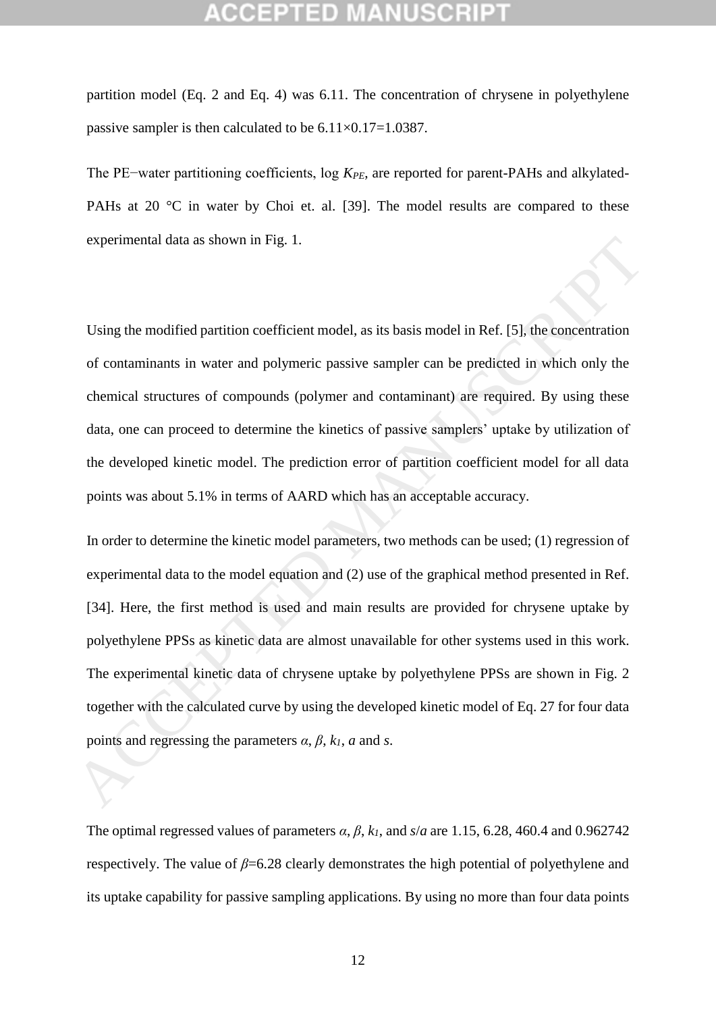partition model (Eq. [2](#page-4-1) and Eq. [4\)](#page-5-0) was 6.11. The concentration of chrysene in polyethylene passive sampler is then calculated to be  $6.11\times0.17=1.0387$ .

The PE–water partitioning coefficients, log *K<sub>PE*</sub>, are reported for parent-PAHs and alkylated-PAHs at 20 °C in water by Choi et. al. [\[39\]](#page-15-12). The model results are compared to these experimental data as shown in Fig. 1.

Using the modified partition coefficient model, as its basis model in Ref. [5], the concentration of contaminants in water and polymeric passive sampler can be predicted in which only the chemical structures of compounds (polymer and contaminant) are required. By using these data, one can proceed to determine the kinetics of passive samplers' uptake by utilization of the developed kinetic model. The prediction error of partition coefficient model for all data points was about 5.1% in terms of AARD which has an acceptable accuracy.

In order to determine the kinetic model parameters, two methods can be used; (1) regression of experimental data to the model equation and (2) use of the graphical method presented in Ref. [34]. Here, the first method is used and main results are provided for chrysene uptake by polyethylene PPSs as kinetic data are almost unavailable for other systems used in this work. The experimental kinetic data of chrysene uptake by polyethylene PPSs are shown in Fig. 2 together with the calculated curve by using the developed kinetic model of Eq. 27 for four data points and regressing the parameters  $\alpha$ ,  $\beta$ ,  $k_1$ ,  $\alpha$  and  $s$ . experimential data as shown in Fig. 1.<br>
Using the modified partition coefficient model, as its basis model in Ref. [5], the concentration<br>
of contaminants in water and polymeric passive sampler can be predicted in which o

The optimal regressed values of parameters  $\alpha$ ,  $\beta$ ,  $k_l$ , and  $s/a$  are 1.15, 6.28, 460.4 and 0.962742 respectively. The value of  $\beta$ =6.28 clearly demonstrates the high potential of polyethylene and its uptake capability for passive sampling applications. By using no more than four data points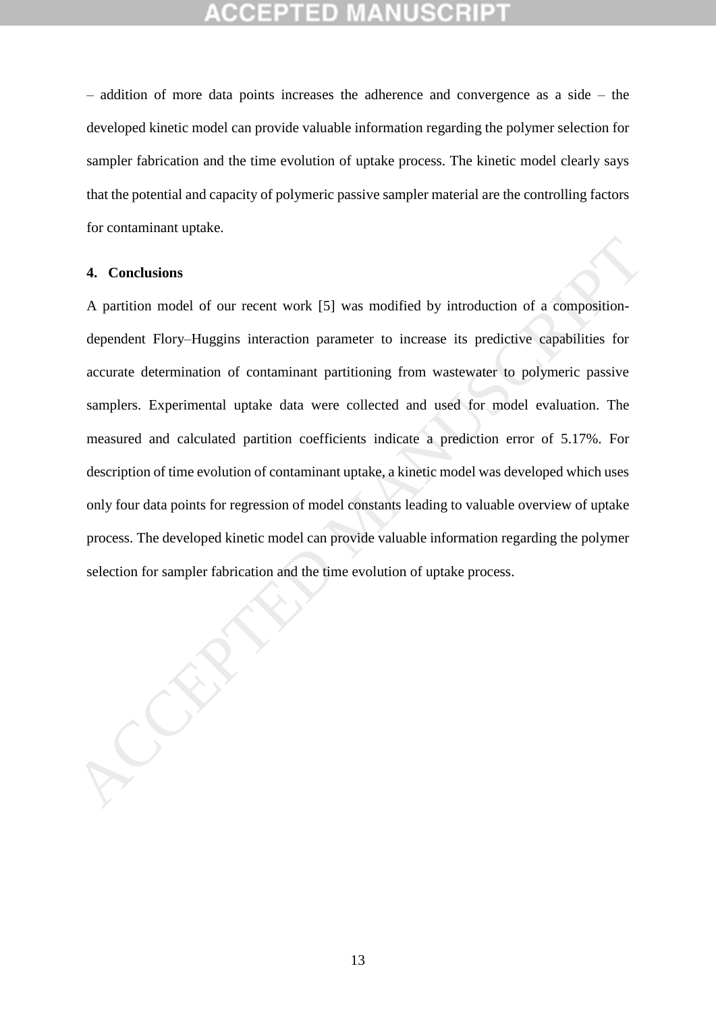– addition of more data points increases the adherence and convergence as a side – the developed kinetic model can provide valuable information regarding the polymer selection for sampler fabrication and the time evolution of uptake process. The kinetic model clearly says that the potential and capacity of polymeric passive sampler material are the controlling factors for contaminant uptake.

### **4. Conclusions**

A partition model of our recent work [5] was modified by introduction of a compositiondependent Flory–Huggins interaction parameter to increase its predictive capabilities for accurate determination of contaminant partitioning from wastewater to polymeric passive samplers. Experimental uptake data were collected and used for model evaluation. The measured and calculated partition coefficients indicate a prediction error of 5.17%. For description of time evolution of contaminant uptake, a kinetic model was developed which uses only four data points for regression of model constants leading to valuable overview of uptake process. The developed kinetic model can provide valuable information regarding the polymer 4. Conclusions<br>
A partition model of our recent work [5] was modified by introduction of a composition-<br>
dependent Flory–Huggins interaction parameter to increase its predictive capabilities for<br>
accurate determination of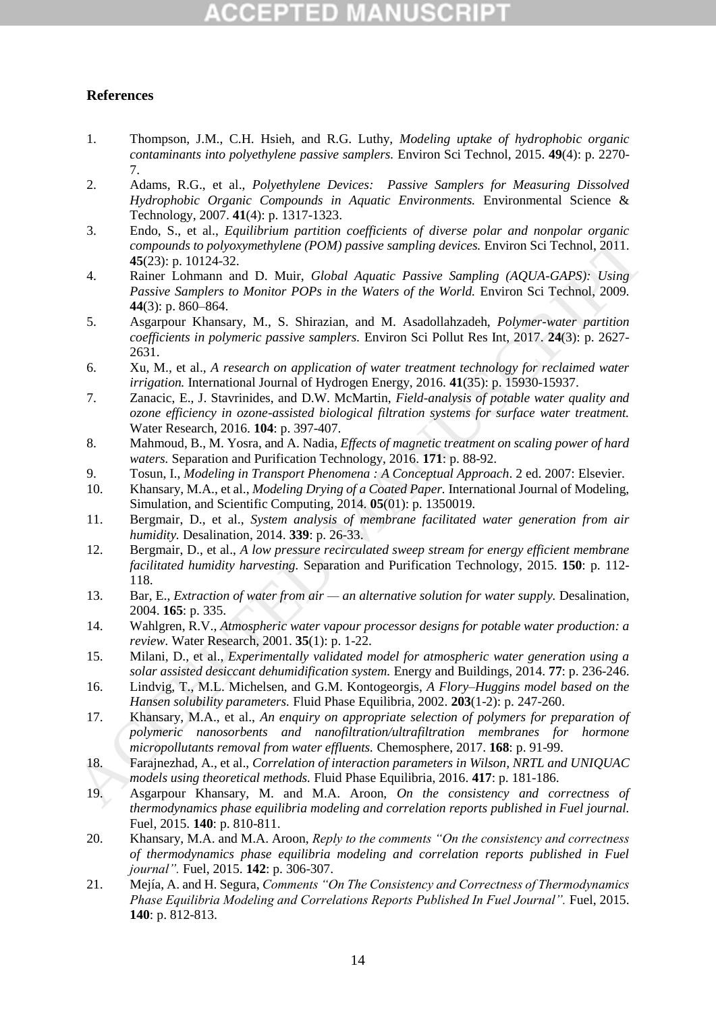# ED

### **References**

- <span id="page-14-0"></span>1. Thompson, J.M., C.H. Hsieh, and R.G. Luthy, *Modeling uptake of hydrophobic organic contaminants into polyethylene passive samplers.* Environ Sci Technol, 2015. **49**(4): p. 2270- 7.
- 2. Adams, R.G., et al., *Polyethylene Devices: Passive Samplers for Measuring Dissolved Hydrophobic Organic Compounds in Aquatic Environments.* Environmental Science & Technology, 2007. **41**(4): p. 1317-1323.
- 3. Endo, S., et al., *Equilibrium partition coefficients of diverse polar and nonpolar organic compounds to polyoxymethylene (POM) passive sampling devices.* Environ Sci Technol, 2011. **45**(23): p. 10124-32.
- <span id="page-14-8"></span><span id="page-14-7"></span><span id="page-14-6"></span><span id="page-14-5"></span><span id="page-14-4"></span><span id="page-14-3"></span><span id="page-14-2"></span><span id="page-14-1"></span>4. Rainer Lohmann and D. Muir, *Global Aquatic Passive Sampling (AQUA-GAPS): Using Passive Samplers to Monitor POPs in the Waters of the World.* Environ Sci Technol, 2009. **44**(3): p. 860–864.
- 5. Asgarpour Khansary, M., S. Shirazian, and M. Asadollahzadeh, *Polymer-water partition coefficients in polymeric passive samplers.* Environ Sci Pollut Res Int, 2017. **24**(3): p. 2627- 2631. *Computed to probusy methylene (POM) passive sampling devices.* Environ Sci Technol, 2011.<br>
Raising Lomplers to Montine Place To the World Appartic Packine Somplers (AQUA-GAPS): Using The Raising Computer Raising (AQUA-GA
	- 6. Xu, M., et al., *A research on application of water treatment technology for reclaimed water irrigation.* International Journal of Hydrogen Energy, 2016. **41**(35): p. 15930-15937.
	- 7. Zanacic, E., J. Stavrinides, and D.W. McMartin, *Field-analysis of potable water quality and ozone efficiency in ozone-assisted biological filtration systems for surface water treatment.* Water Research, 2016. **104**: p. 397-407.
	- 8. Mahmoud, B., M. Yosra, and A. Nadia, *Effects of magnetic treatment on scaling power of hard waters.* Separation and Purification Technology, 2016. **171**: p. 88-92.
	- 9. Tosun, I., *Modeling in Transport Phenomena : A Conceptual Approach*. 2 ed. 2007: Elsevier.
	- 10. Khansary, M.A., et al., *Modeling Drying of a Coated Paper.* International Journal of Modeling, Simulation, and Scientific Computing, 2014. **05**(01): p. 1350019.
	- 11. Bergmair, D., et al., *System analysis of membrane facilitated water generation from air humidity.* Desalination, 2014. **339**: p. 26-33.
	- 12. Bergmair, D., et al., *A low pressure recirculated sweep stream for energy efficient membrane facilitated humidity harvesting.* Separation and Purification Technology, 2015. **150**: p. 112- 118.
	- 13. Bar, E., *Extraction of water from air — an alternative solution for water supply.* Desalination, 2004. **165**: p. 335.
	- 14. Wahlgren, R.V., *Atmospheric water vapour processor designs for potable water production: a review.* Water Research, 2001. **35**(1): p. 1-22.
	- 15. Milani, D., et al., *Experimentally validated model for atmospheric water generation using a solar assisted desiccant dehumidification system.* Energy and Buildings, 2014. **77**: p. 236-246.
	- 16. Lindvig, T., M.L. Michelsen, and G.M. Kontogeorgis, *A Flory–Huggins model based on the Hansen solubility parameters.* Fluid Phase Equilibria, 2002. **203**(1-2): p. 247-260.
	- 17. Khansary, M.A., et al., *An enquiry on appropriate selection of polymers for preparation of polymeric nanosorbents and nanofiltration/ultrafiltration membranes for hormone micropollutants removal from water effluents.* Chemosphere, 2017. **168**: p. 91-99.
	- 18. Farajnezhad, A., et al., *Correlation of interaction parameters in Wilson, NRTL and UNIQUAC models using theoretical methods.* Fluid Phase Equilibria, 2016. **417**: p. 181-186.
	- 19. Asgarpour Khansary, M. and M.A. Aroon, *On the consistency and correctness of thermodynamics phase equilibria modeling and correlation reports published in Fuel journal.* Fuel, 2015. **140**: p. 810-811.
	- 20. Khansary, M.A. and M.A. Aroon, *Reply to the comments "On the consistency and correctness of thermodynamics phase equilibria modeling and correlation reports published in Fuel journal".* Fuel, 2015. **142**: p. 306-307.
	- 21. Mejía, A. and H. Segura, *Comments "On The Consistency and Correctness of Thermodynamics Phase Equilibria Modeling and Correlations Reports Published In Fuel Journal".* Fuel, 2015. **140**: p. 812-813.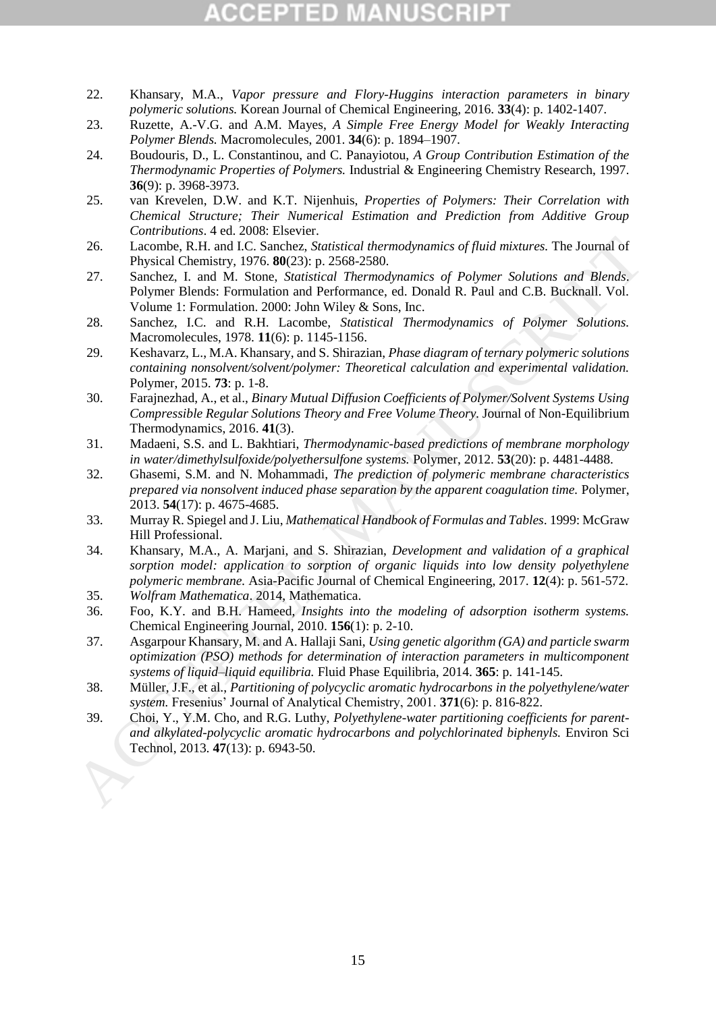- <span id="page-15-0"></span>22. Khansary, M.A., *Vapor pressure and Flory-Huggins interaction parameters in binary polymeric solutions.* Korean Journal of Chemical Engineering, 2016. **33**(4): p. 1402-1407.
- <span id="page-15-1"></span>23. Ruzette, A.-V.G. and A.M. Mayes, *A Simple Free Energy Model for Weakly Interacting Polymer Blends.* Macromolecules, 2001. **34**(6): p. 1894–1907.
- <span id="page-15-2"></span>24. Boudouris, D., L. Constantinou, and C. Panayiotou, *A Group Contribution Estimation of the Thermodynamic Properties of Polymers.* Industrial & Engineering Chemistry Research, 1997. **36**(9): p. 3968-3973.
- <span id="page-15-3"></span>25. van Krevelen, D.W. and K.T. Nijenhuis, *Properties of Polymers: Their Correlation with Chemical Structure; Their Numerical Estimation and Prediction from Additive Group Contributions*. 4 ed. 2008: Elsevier.
- <span id="page-15-4"></span>26. Lacombe, R.H. and I.C. Sanchez, *Statistical thermodynamics of fluid mixtures.* The Journal of Physical Chemistry, 1976. **80**(23): p. 2568-2580.
- 27. Sanchez, I. and M. Stone, *Statistical Thermodynamics of Polymer Solutions and Blends*. Polymer Blends: Formulation and Performance, ed. Donald R. Paul and C.B. Bucknall. Vol. Volume 1: Formulation. 2000: John Wiley & Sons, Inc.
- 28. Sanchez, I.C. and R.H. Lacombe, *Statistical Thermodynamics of Polymer Solutions.* Macromolecules, 1978. **11**(6): p. 1145-1156.
- <span id="page-15-5"></span>29. Keshavarz, L., M.A. Khansary, and S. Shirazian, *Phase diagram of ternary polymeric solutions containing nonsolvent/solvent/polymer: Theoretical calculation and experimental validation.* Polymer, 2015. **73**: p. 1-8.
- 30. Farajnezhad, A., et al., *Binary Mutual Diffusion Coefficients of Polymer/Solvent Systems Using Compressible Regular Solutions Theory and Free Volume Theory.* Journal of Non-Equilibrium Thermodynamics, 2016. **41**(3).
- 31. Madaeni, S.S. and L. Bakhtiari, *Thermodynamic-based predictions of membrane morphology in water/dimethylsulfoxide/polyethersulfone systems.* Polymer, 2012. **53**(20): p. 4481-4488.
- 32. Ghasemi, S.M. and N. Mohammadi, *The prediction of polymeric membrane characteristics prepared via nonsolvent induced phase separation by the apparent coagulation time.* Polymer, 2013. **54**(17): p. 4675-4685.
- <span id="page-15-12"></span><span id="page-15-11"></span><span id="page-15-10"></span><span id="page-15-9"></span><span id="page-15-8"></span><span id="page-15-7"></span><span id="page-15-6"></span>33. Murray R. Spiegel and J. Liu, *Mathematical Handbook of Formulas and Tables*. 1999: McGraw Hill Professional.
- 34. Khansary, M.A., A. Marjani, and S. Shirazian, *Development and validation of a graphical sorption model: application to sorption of organic liquids into low density polyethylene polymeric membrane.* Asia-Pacific Journal of Chemical Engineering, 2017. **12**(4): p. 561-572. 26.<br>
1 accombe, R.H. and I.C. Sanchez, Sonticularly durational of Poisitive and Figure 2013. The same Accessor, 2013. The Sanchez, 1. and M. Stone, 2013. The David Disconsists of Poisitive Bohar Schutter Dollar Theoretics
	- 35. *Wolfram Mathematica*. 2014, Mathematica.
	- 36. Foo, K.Y. and B.H. Hameed, *Insights into the modeling of adsorption isotherm systems.* Chemical Engineering Journal, 2010. **156**(1): p. 2-10.
	- 37. Asgarpour Khansary, M. and A. Hallaji Sani, *Using genetic algorithm (GA) and particle swarm optimization (PSO) methods for determination of interaction parameters in multicomponent systems of liquid–liquid equilibria.* Fluid Phase Equilibria, 2014. **365**: p. 141-145.
	- 38. Müller, J.F., et al., *Partitioning of polycyclic aromatic hydrocarbons in the polyethylene/water system.* Fresenius' Journal of Analytical Chemistry, 2001. **371**(6): p. 816-822.
	- 39. Choi, Y., Y.M. Cho, and R.G. Luthy, *Polyethylene-water partitioning coefficients for parentand alkylated-polycyclic aromatic hydrocarbons and polychlorinated biphenyls.* Environ Sci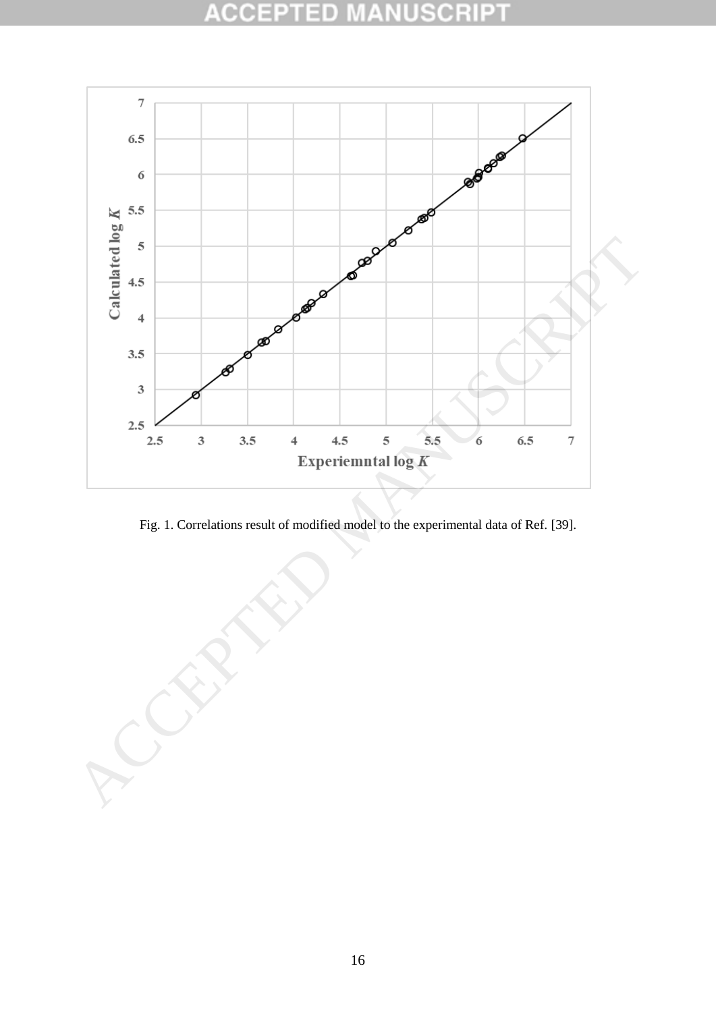### **ACCEPT** 2D USCRI P



Fig. 1. Correlations result of modified model to the experimental data of Ref. [39].

<span id="page-16-0"></span>